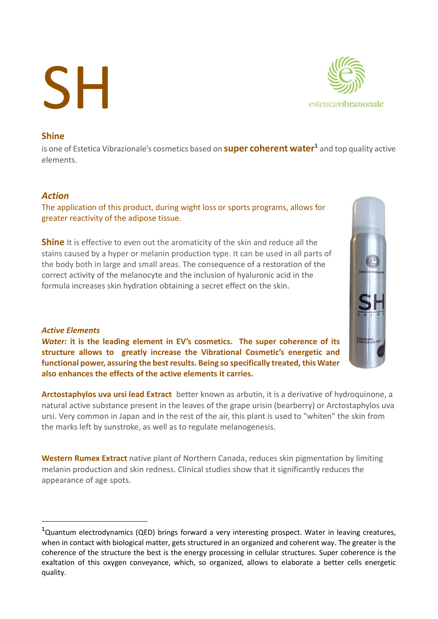# **SH**



## Shine

is one of Estetica Vibrazionale's cosmetics based on **super coherent water<sup>1</sup> and top quality active** elements.

### Action

The application of this product, during wight loss or sports programs, allows for greater reactivity of the adipose tissue.

**Shine** It is effective to even out the aromaticity of the skin and reduce all the stains caused by a hyper or melanin production type. It can be used in all parts of the body both in large and small areas. The consequence of a restoration of the correct activity of the melanocyte and the inclusion of hyaluronic acid in the formula increases skin hydration obtaining a secret effect on the skin.

### Active Elements

Water: it is the leading element in EV's cosmetics. The super coherence of its structure allows to greatly increase the Vibrational Cosmetic's energetic and functional power, assuring the best results. Being so specifically treated, this Water also enhances the effects of the active elements it carries.

Arctostaphylos uva ursi lead Extract better known as arbutin, it is a derivative of hydroquinone, a natural active substance present in the leaves of the grape urisin (bearberry) or Arctostaphylos uva ursi. Very common in Japan and in the rest of the air, this plant is used to "whiten" the skin from the marks left by sunstroke, as well as to regulate melanogenesis.

Western Rumex Extract native plant of Northern Canada, reduces skin pigmentation by limiting melanin production and skin redness. Clinical studies show that it significantly reduces the appearance of age spots.



 $1$ Quantum electrodynamics (QED) brings forward a very interesting prospect. Water in leaving creatures, when in contact with biological matter, gets structured in an organized and coherent way. The greater is the coherence of the structure the best is the energy processing in cellular structures. Super coherence is the exaltation of this oxygen conveyance, which, so organized, allows to elaborate a better cells energetic quality.